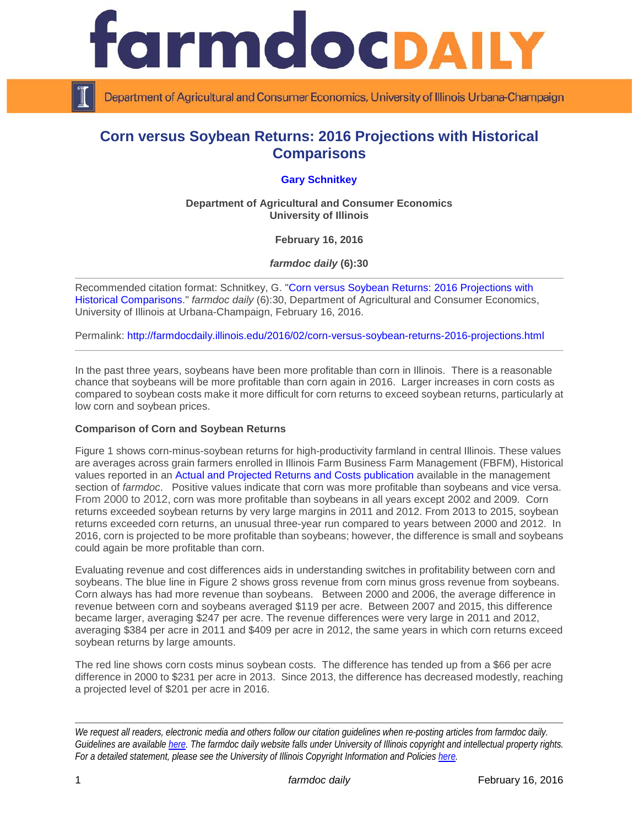

Department of Agricultural and Consumer Economics, University of Illinois Urbana-Champaign

# **Corn versus Soybean Returns: 2016 Projections with Historical Comparisons**

## **[Gary Schnitkey](http://farmdoc.illinois.edu/schnitkey)**

**Department of Agricultural and Consumer Economics University of Illinois**

**February 16, 2016**

*farmdoc daily* **(6):30**

Recommended citation format: Schnitkey, G. ["Corn versus Soybean Returns: 2016 Projections with](http://farmdocdaily.illinois.edu/2016/02/corn-versus-soybean-returns-2016-projections.html)  [Historical Comparisons.](http://farmdocdaily.illinois.edu/2016/02/corn-versus-soybean-returns-2016-projections.html)" *farmdoc daily* (6):30, Department of Agricultural and Consumer Economics, University of Illinois at Urbana-Champaign, February 16, 2016.

Permalink: <http://farmdocdaily.illinois.edu/2016/02/corn-versus-soybean-returns-2016-projections.html>

In the past three years, soybeans have been more profitable than corn in Illinois. There is a reasonable chance that soybeans will be more profitable than corn again in 2016. Larger increases in corn costs as compared to soybean costs make it more difficult for corn returns to exceed soybean returns, particularly at low corn and soybean prices.

### **Comparison of Corn and Soybean Returns**

Figure 1 shows corn-minus-soybean returns for high-productivity farmland in central Illinois. These values are averages across grain farmers enrolled in Illinois Farm Business Farm Management (FBFM), Historical values reported in an [Actual and Projected Returns and Costs publication](http://www.farmdoc.illinois.edu/manage/actual_projected_costs.pdf) available in the management section of *farmdoc*. Positive values indicate that corn was more profitable than soybeans and vice versa. From 2000 to 2012, corn was more profitable than soybeans in all years except 2002 and 2009. Corn returns exceeded soybean returns by very large margins in 2011 and 2012. From 2013 to 2015, soybean returns exceeded corn returns, an unusual three-year run compared to years between 2000 and 2012. In 2016, corn is projected to be more profitable than soybeans; however, the difference is small and soybeans could again be more profitable than corn.

Evaluating revenue and cost differences aids in understanding switches in profitability between corn and soybeans. The blue line in Figure 2 shows gross revenue from corn minus gross revenue from soybeans. Corn always has had more revenue than soybeans. Between 2000 and 2006, the average difference in revenue between corn and soybeans averaged \$119 per acre. Between 2007 and 2015, this difference became larger, averaging \$247 per acre. The revenue differences were very large in 2011 and 2012, averaging \$384 per acre in 2011 and \$409 per acre in 2012, the same years in which corn returns exceed soybean returns by large amounts.

The red line shows corn costs minus soybean costs. The difference has tended up from a \$66 per acre difference in 2000 to \$231 per acre in 2013. Since 2013, the difference has decreased modestly, reaching a projected level of \$201 per acre in 2016.

*We request all readers, electronic media and others follow our citation guidelines when re-posting articles from farmdoc daily. Guidelines are available [here.](http://farmdocdaily.illinois.edu/citationguide.html) The farmdoc daily website falls under University of Illinois copyright and intellectual property rights. For a detailed statement, please see the University of Illinois Copyright Information and Policies [here.](http://www.cio.illinois.edu/policies/copyright/)*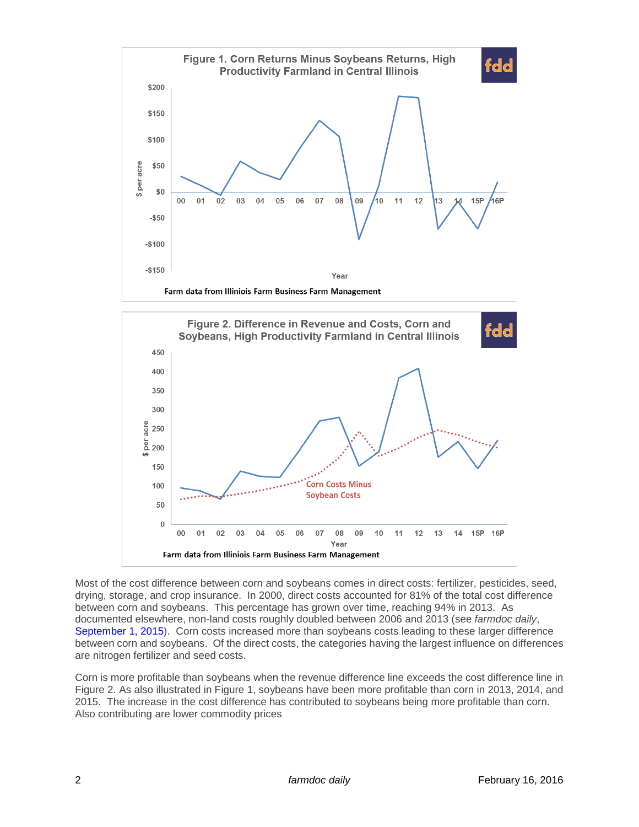

Most of the cost difference between corn and soybeans comes in direct costs: fertilizer, pesticides, seed, drying, storage, and crop insurance. In 2000, direct costs accounted for 81% of the total cost difference between corn and soybeans. This percentage has grown over time, reaching 94% in 2013. As documented elsewhere, non-land costs roughly doubled between 2006 and 2013 (see *farmdoc daily*, [September 1, 2015\)](http://farmdocdaily.illinois.edu/2015/09/cutting-100-per-acre-in-costs-corn-soybeans.html). Corn costs increased more than soybeans costs leading to these larger difference between corn and soybeans. Of the direct costs, the categories having the largest influence on differences are nitrogen fertilizer and seed costs.

Corn is more profitable than soybeans when the revenue difference line exceeds the cost difference line in Figure 2. As also illustrated in Figure 1, soybeans have been more profitable than corn in 2013, 2014, and 2015. The increase in the cost difference has contributed to soybeans being more profitable than corn. Also contributing are lower commodity prices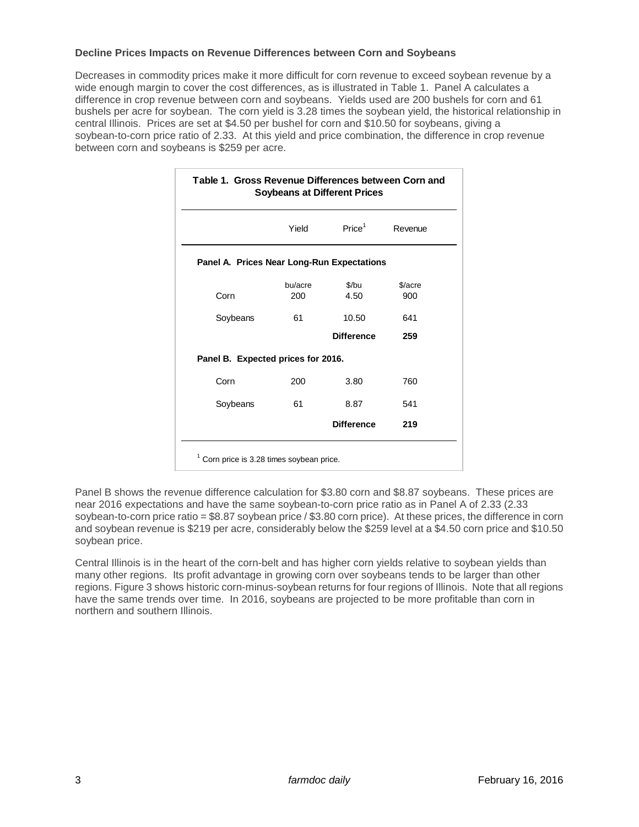#### **Decline Prices Impacts on Revenue Differences between Corn and Soybeans**

Decreases in commodity prices make it more difficult for corn revenue to exceed soybean revenue by a wide enough margin to cover the cost differences, as is illustrated in Table 1. Panel A calculates a difference in crop revenue between corn and soybeans. Yields used are 200 bushels for corn and 61 bushels per acre for soybean. The corn yield is 3.28 times the soybean yield, the historical relationship in central Illinois. Prices are set at \$4.50 per bushel for corn and \$10.50 for soybeans, giving a soybean-to-corn price ratio of 2.33. At this yield and price combination, the difference in crop revenue between corn and soybeans is \$259 per acre.

|                                            | Yield   | Price <sup>1</sup> | Revenue |
|--------------------------------------------|---------|--------------------|---------|
|                                            |         |                    |         |
| Panel A. Prices Near Long-Run Expectations |         |                    |         |
|                                            | bu/acre | $$$ /bu            | \$/acre |
| Corn                                       | 200     | 4.50               | 900     |
| Soybeans                                   | 61      | 10.50              | 641     |
|                                            |         | <b>Difference</b>  | 259     |
| Panel B. Expected prices for 2016.         |         |                    |         |
| Corn                                       | 200     | 3.80               | 760     |
| Soybeans                                   | 61      | 8.87               | 541     |
|                                            |         | <b>Difference</b>  | 219     |

Panel B shows the revenue difference calculation for \$3.80 corn and \$8.87 soybeans. These prices are near 2016 expectations and have the same soybean-to-corn price ratio as in Panel A of 2.33 (2.33 soybean-to-corn price ratio = \$8.87 soybean price / \$3.80 corn price). At these prices, the difference in corn and soybean revenue is \$219 per acre, considerably below the \$259 level at a \$4.50 corn price and \$10.50 soybean price.

Central Illinois is in the heart of the corn-belt and has higher corn yields relative to soybean yields than many other regions. Its profit advantage in growing corn over soybeans tends to be larger than other regions. Figure 3 shows historic corn-minus-soybean returns for four regions of Illinois. Note that all regions have the same trends over time. In 2016, soybeans are projected to be more profitable than corn in northern and southern Illinois.